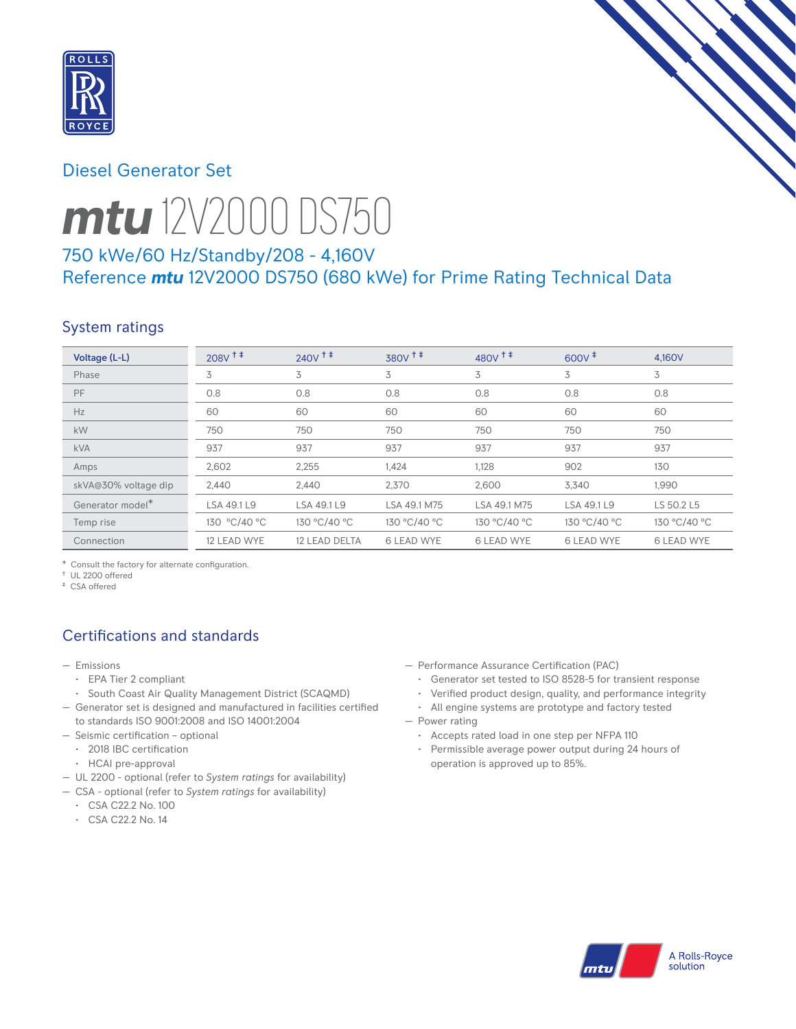

## Diesel Generator Set



# *mtu* 12V2000 DS750

# 750 kWe/60 Hz/Standby/208 - 4,160V Reference *mtu* 12V2000 DS750 (680 kWe) for Prime Rating Technical Data

# System ratings

| Voltage (L-L)        | $208V$ <sup>++</sup> | $240V$ <sup>++</sup> | $380V$ <sup><math>+</math></sup> | $480V$ <sup>++</sup> | $600V^+$          | 4.160V            |
|----------------------|----------------------|----------------------|----------------------------------|----------------------|-------------------|-------------------|
| Phase                | 3                    | 3                    | 3                                | 3                    | 3                 | 3                 |
| PF                   | 0.8                  | 0.8                  | 0.8                              | 0.8                  | 0.8               | 0.8               |
| Hz                   | 60                   | 60                   | 60                               | 60                   | 60                | 60                |
| kW                   | 750                  | 750                  | 750                              | 750                  | 750               | 750               |
| <b>kVA</b>           | 937                  | 937                  | 937                              | 937                  | 937               | 937               |
| Amps                 | 2,602                | 2,255                | 1,424                            | 1,128                | 902               | 130               |
| skVA@30% voltage dip | 2,440                | 2,440                | 2,370                            | 2,600                | 3,340             | 1,990             |
| Generator model*     | LSA 49.1 L9          | LSA 49.1 L9          | LSA 49.1 M75                     | LSA 49.1 M75         | LSA 49.1 L9       | LS 50.2 L5        |
| Temp rise            | 130 °C/40 °C         | 130 °C/40 °C         | 130 °C/40 °C                     | 130 °C/40 °C         | 130 °C/40 °C      | 130 °C/40 °C      |
| Connection           | 12 LEAD WYE          | 12 LEAD DELTA        | <b>6 LEAD WYE</b>                | <b>6 LEAD WYE</b>    | <b>6 LEAD WYE</b> | <b>6 LEAD WYE</b> |

\* Consult the factory for alternate configuration.

† UL 2200 offered ‡ CSA offered

# Certifications and standards

- Emissions
	- EPA Tier 2 compliant
	- South Coast Air Quality Management District (SCAQMD)
- Generator set is designed and manufactured in facilities certified to standards ISO 9001:2008 and ISO 14001:2004
- Seismic certification optional
	- 2018 IBC certification
	- HCAI pre-approval
- UL 2200 optional (refer to *System ratings* for availability)
- CSA optional (refer to *System ratings* for availability)
	- CSA C22.2 No. 100
	- CSA C22.2 No. 14
- Performance Assurance Certification (PAC)
	- Generator set tested to ISO 8528-5 for transient response
	- Verified product design, quality, and performance integrity
- All engine systems are prototype and factory tested — Power rating
	- Accepts rated load in one step per NFPA 110
	- Permissible average power output during 24 hours of operation is approved up to 85%.

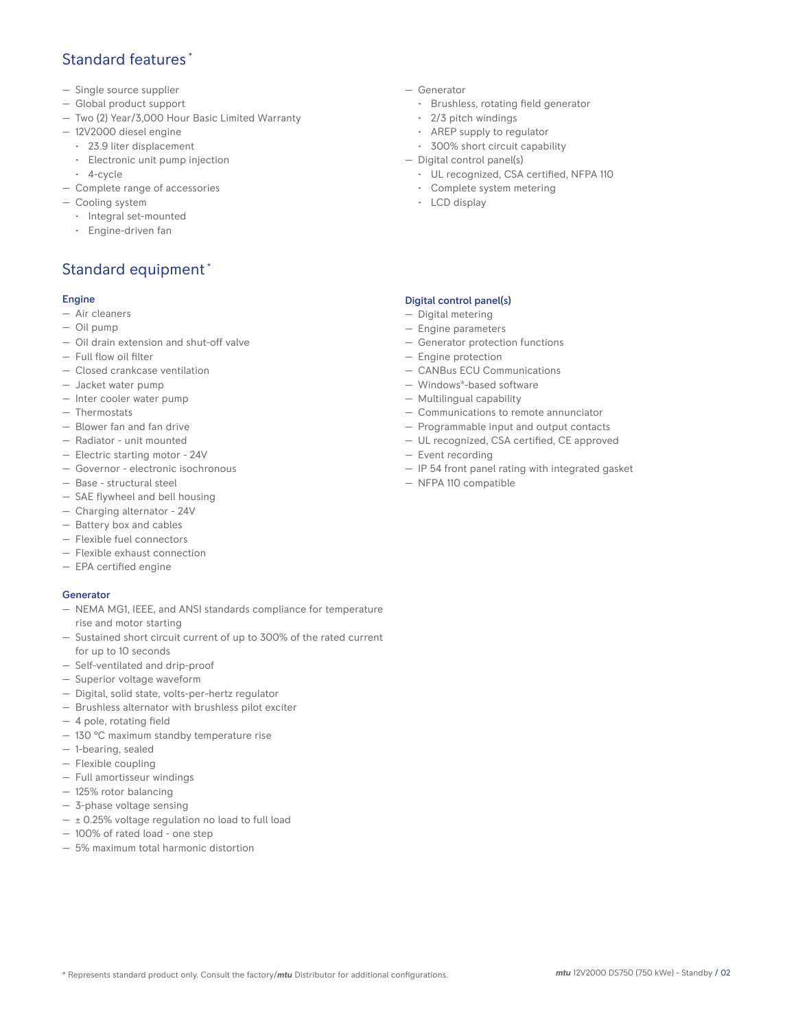## Standard features \*

- Single source supplier
- Global product support
- Two (2) Year/3,000 Hour Basic Limited Warranty
- 12V2000 diesel engine
	- 23.9 liter displacement
	- Electronic unit pump injection
- 4-cycle
- Complete range of accessories
- Cooling system
	- Integral set-mounted
	- Engine-driven fan

## Standard equipment \*

#### Engine

- Air cleaners
- Oil pump
- Oil drain extension and shut-off valve
- Full flow oil filter
- Closed crankcase ventilation
- Jacket water pump
- Inter cooler water pump
- Thermostats
- Blower fan and fan drive
- Radiator unit mounted
- Electric starting motor 24V
- Governor electronic isochronous
- Base structural steel
- SAE flywheel and bell housing
- Charging alternator 24V
- Battery box and cables
- Flexible fuel connectors
- Flexible exhaust connection
- EPA certified engine

#### **Generator**

- NEMA MG1, IEEE, and ANSI standards compliance for temperature rise and motor starting
- Sustained short circuit current of up to 300% of the rated current for up to 10 seconds
- Self-ventilated and drip-proof
- Superior voltage waveform
- Digital, solid state, volts-per-hertz regulator
- Brushless alternator with brushless pilot exciter
- 4 pole, rotating field
- 130 °C maximum standby temperature rise
- 1-bearing, sealed
- Flexible coupling
- Full amortisseur windings
- 125% rotor balancing
- 3-phase voltage sensing
- $\pm$  0.25% voltage regulation no load to full load
- 100% of rated load one step
- 5% maximum total harmonic distortion
- Generator
	- Brushless, rotating field generator
	- 2/3 pitch windings
	- AREP supply to regulator
	- 300% short circuit capability
- Digital control panel(s)
	- UL recognized, CSA certified, NFPA 110
	- Complete system metering
	- LCD display

#### Digital control panel(s)

- Digital metering
- Engine parameters
- Generator protection functions
- Engine protection
- CANBus ECU Communications
- Windows®-based software
- Multilingual capability
- Communications to remote annunciator
- Programmable input and output contacts
- UL recognized, CSA certified, CE approved
- Event recording
- IP 54 front panel rating with integrated gasket
- NFPA 110 compatible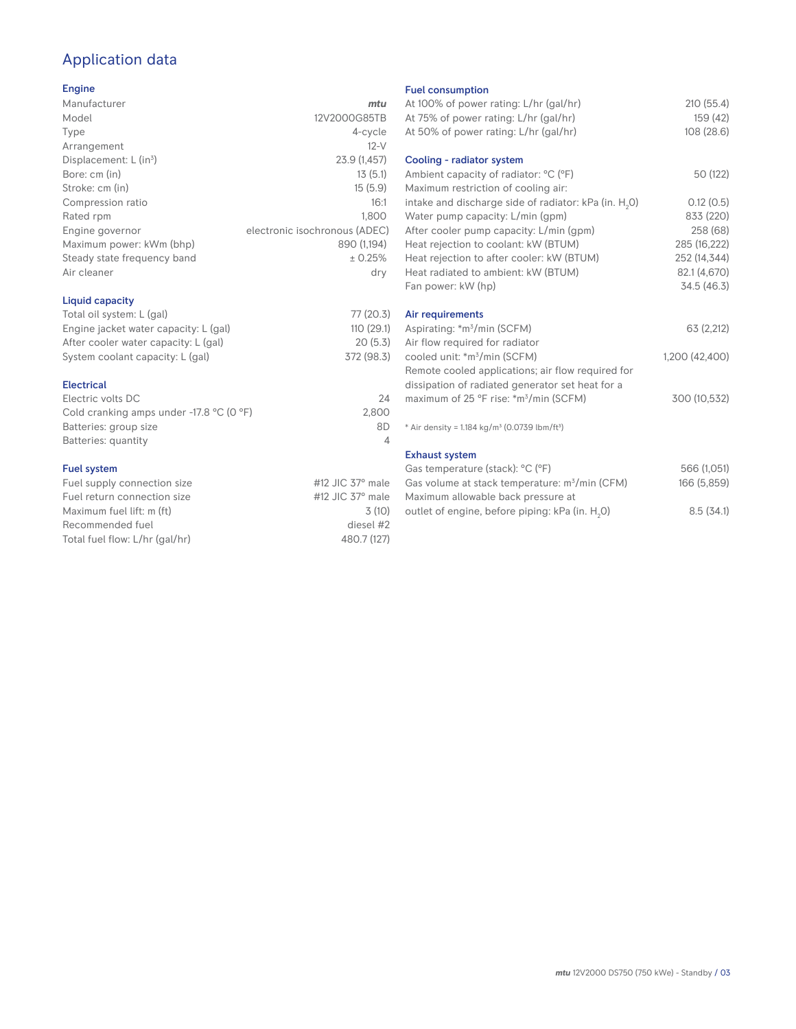## Application data

#### Engine

| Manufacturer                | mtu                           |
|-----------------------------|-------------------------------|
| Model                       | 12V2000G85TB                  |
| Type                        | 4-cycle                       |
| Arrangement                 | $12-V$                        |
| Displacement: $L (in3)$     | 23.9 (1,457)                  |
| Bore: cm (in)               | 13(5.1)                       |
| Stroke: cm (in)             | 15(5.9)                       |
| Compression ratio           | 16:1                          |
| Rated rpm                   | 1,800                         |
| Engine governor             | electronic isochronous (ADEC) |
| Maximum power: kWm (bhp)    | 890 (1,194)                   |
| Steady state frequency band | ± 0.25%                       |
| Air cleaner                 | dry                           |
| Liquid capacity             |                               |

#### Total oil system: L (gal) 77 (20.3)<br>Engine jacket water capacity: L (gal) 110 (29.1) Engine jacket water capacity: L (gal) 110 (29.1)<br>After cooler water capacity: L (gal) 20 (5.3) After cooler water capacity: L (gal) System coolant capacity: L (gal) 372 (98.3) Electrical

| Electric volts DC                                            | 24    |
|--------------------------------------------------------------|-------|
| Cold cranking amps under -17.8 $^{\circ}$ C (O $^{\circ}$ F) | 2.800 |
| Batteries: group size                                        | 8D    |
| Batteries: quantity                                          |       |
|                                                              |       |

#### Fuel system

| Fuel supply connection size    | #12 JIC $37^\circ$ male |
|--------------------------------|-------------------------|
| Fuel return connection size    | #12 JIC $37^\circ$ male |
| Maximum fuel lift: m (ft)      | 3(10)                   |
| Recommended fuel               | diesel #2               |
| Total fuel flow: L/hr (gal/hr) | 480.7 (127)             |
|                                |                         |

#### Fuel consumption

| At 100% of power rating: L/hr (gal/hr)<br>At 75% of power rating: L/hr (gal/hr)<br>At 50% of power rating: L/hr (gal/hr)                     | 210 (55.4)<br>159 (42)<br>108 (28.6)     |
|----------------------------------------------------------------------------------------------------------------------------------------------|------------------------------------------|
| Cooling - radiator system<br>Ambient capacity of radiator: °C (°F)                                                                           | 50 (122)                                 |
| Maximum restriction of cooling air:<br>intake and discharge side of radiator: kPa (in. H <sub>2</sub> O)<br>Water pump capacity: L/min (gpm) | 0.12(0.5)<br>833 (220)                   |
| After cooler pump capacity: L/min (gpm)<br>Heat rejection to coolant: kW (BTUM)<br>Heat rejection to after cooler: kW (BTUM)                 | 258 (68)<br>285 (16,222)<br>252 (14,344) |
| Heat radiated to ambient: kW (BTUM)<br>Fan power: kW (hp)                                                                                    | 82.1 (4,670)<br>34.5 (46.3)              |
| Air requirements<br>Aspirating: *m <sup>3</sup> /min (SCFM)                                                                                  | 63 (2,212)                               |
| Air flow required for radiator<br>cooled unit: *m <sup>3</sup> /min (SCFM)<br>Remote cooled applications; air flow required for              | 1,200 (42,400)                           |
| dissipation of radiated generator set heat for a<br>maximum of 25 °F rise: *m <sup>3</sup> /min (SCFM)                                       | 300 (10,532)                             |
| * Air density = 1.184 kg/m <sup>3</sup> (0.0739 lbm/ft <sup>3</sup> )                                                                        |                                          |
| <b>Exhaust system</b>                                                                                                                        |                                          |
| Gas temperature (stack): °C (°F)                                                                                                             | 566 (1,051)                              |
| Gas volume at stack temperature: m <sup>3</sup> /min (CFM)<br>Maximum allowable back pressure at                                             | 166 (5,859)                              |
| outlet of engine, before piping: kPa (in. H <sub>2</sub> 0)                                                                                  | 8.5(34.1)                                |